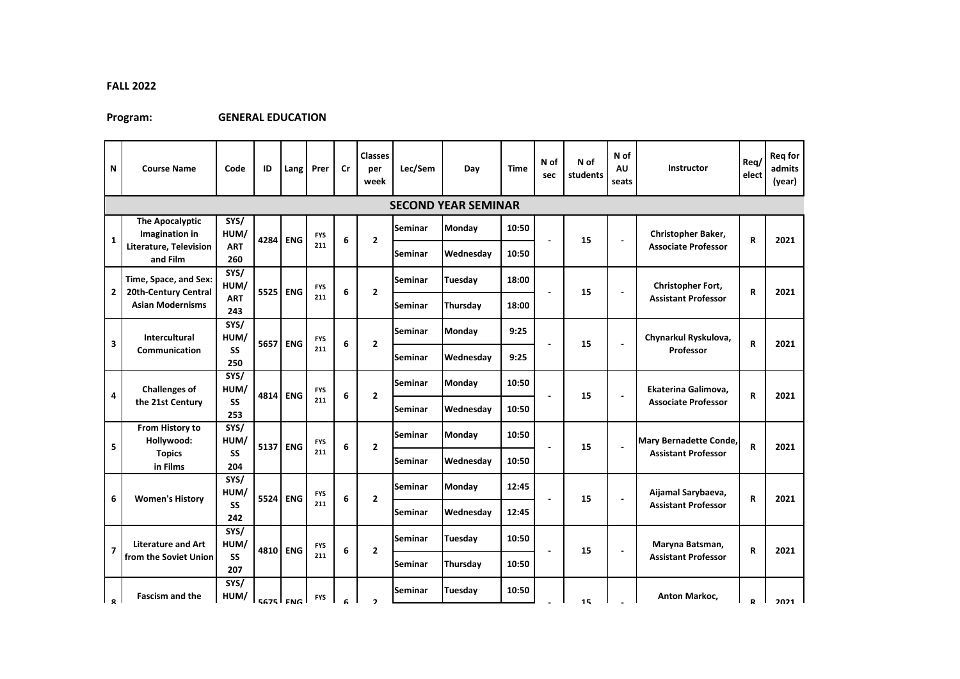## **FALL 2022**

## **Program: GENERAL EDUCATION**

| N                       | <b>Course Name</b>                                                 | Code                       | ID   | Lang               | Prer              | Cr | <b>Classes</b><br>per<br>week | Lec/Sem | Day                        | Time  | N of<br>sec | N of<br>students | N of<br>AU<br>seats      | <b>Instructor</b>                                    | Reg/<br>elect | Req for<br>admits<br>(year) |
|-------------------------|--------------------------------------------------------------------|----------------------------|------|--------------------|-------------------|----|-------------------------------|---------|----------------------------|-------|-------------|------------------|--------------------------|------------------------------------------------------|---------------|-----------------------------|
|                         |                                                                    |                            |      |                    |                   |    |                               |         | <b>SECOND YEAR SEMINAR</b> |       |             |                  |                          |                                                      |               |                             |
| $\mathbf{1}$            | <b>The Apocalyptic</b><br>Imagination in<br>Literature, Television | SYS/<br>HUM/<br><b>ART</b> | 4284 | <b>ENG</b>         | <b>FYS</b><br>211 | 6  | $\overline{2}$                | Seminar | <b>Monday</b>              | 10:50 | Ĭ.          | 15               | $\overline{\phantom{a}}$ | Christopher Baker,<br><b>Associate Professor</b>     | $\mathsf{R}$  | 2021                        |
|                         | and Film                                                           | 260                        |      |                    |                   |    |                               | Seminar | Wednesday                  | 10:50 |             |                  |                          |                                                      |               |                             |
| $\mathbf{2}$            | Time, Space, and Sex:<br>20th-Century Central                      | SYS/<br>HUM/               | 5525 | <b>ENG</b>         | <b>FYS</b><br>211 | 6  | $\overline{2}$                | Seminar | Tuesday                    | 18:00 | 15<br>Ĭ.    |                  | $\blacksquare$           | Christopher Fort,<br><b>Assistant Professor</b>      | R             | 2021                        |
|                         | <b>Asian Modernisms</b>                                            | <b>ART</b><br>243          |      |                    |                   |    |                               | Seminar | Thursday                   | 18:00 |             |                  |                          |                                                      |               |                             |
| 3                       | <b>Intercultural</b><br><b>Communication</b>                       | SYS/<br>HUM/               | 5657 | <b>ENG</b>         | <b>FYS</b><br>211 | 6  | $\overline{2}$                | Seminar | Monday                     | 9:25  | 15          |                  | $\blacksquare$           | Chynarkul Ryskulova,<br>Professor                    | R             | 2021                        |
|                         |                                                                    | SS<br>250                  |      |                    |                   |    |                               | Seminar | Wednesday                  | 9:25  |             |                  |                          |                                                      |               |                             |
| 4                       | SYS/<br><b>Challenges of</b><br>HUM/                               |                            | 4814 | <b>ENG</b>         | <b>FYS</b><br>211 | 6  | $\overline{2}$                | Seminar | <b>Monday</b>              | 10:50 |             | 15               | $\overline{\phantom{a}}$ | Ekaterina Galimova,<br><b>Associate Professor</b>    | $\mathsf{R}$  | 2021                        |
|                         | the 21st Century                                                   | SS<br>253                  |      |                    |                   |    |                               | Seminar | Wednesday                  | 10:50 |             |                  |                          |                                                      |               |                             |
| 5                       | From History to<br>Hollywood:                                      | SYS/<br>HUM/               | 5137 | <b>ENG</b>         | <b>FYS</b><br>211 | 6  | $\overline{2}$                | Seminar | Monday                     | 10:50 | 15          |                  |                          | Mary Bernadette Conde,<br><b>Assistant Professor</b> | $\mathbf R$   | 2021                        |
|                         | <b>Topics</b><br>in Films                                          | SS<br>204                  |      |                    |                   |    |                               | Seminar | Wednesday                  | 10:50 |             |                  |                          |                                                      |               |                             |
|                         | <b>Women's History</b>                                             | SYS/<br>HUM/               | 5524 | <b>ENG</b>         | <b>FYS</b><br>211 | 6  | $\overline{2}$                | Seminar | Monday                     | 12:45 |             | 15               |                          | Aijamal Sarybaeva,<br><b>Assistant Professor</b>     | $\mathbf R$   | 2021                        |
| 6                       |                                                                    | SS<br>242                  |      |                    |                   |    |                               | Seminar | Wednesday                  | 12:45 |             |                  | $\blacksquare$           |                                                      |               |                             |
| $\overline{\mathbf{z}}$ | <b>Literature and Art</b>                                          | SYS/<br>HUM/               |      | 4810<br><b>ENG</b> | <b>FYS</b><br>211 | 6  | $\overline{2}$                | Seminar | Tuesday                    | 10:50 |             | 15               |                          | Maryna Batsman,<br><b>Assistant Professor</b>        | R             | 2021                        |
|                         | from the Soviet Union                                              | SS<br>207                  |      |                    |                   |    |                               | Seminar | Thursday                   | 10:50 |             |                  |                          |                                                      |               |                             |
| l o                     | <b>Fascism and the</b>                                             | SYS/<br>HUM/               |      | <b>EG75 ENG</b>    | <b>FYS</b>        |    | $\overline{\phantom{a}}$      | Seminar | Tuesday                    | 10:50 |             |                  |                          | Anton Markoc,                                        | D             | 2021                        |